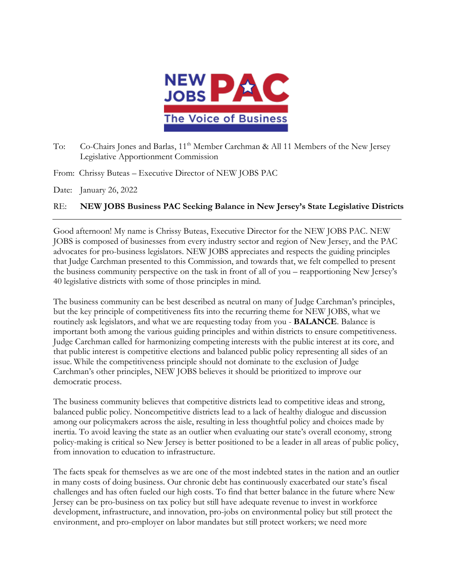

To: Co-Chairs Jones and Barlas, 11<sup>th</sup> Member Carchman & All 11 Members of the New Jersey Legislative Apportionment Commission

From: Chrissy Buteas – Executive Director of NEW JOBS PAC

Date: January 26, 2022

## RE: **NEW JOBS Business PAC Seeking Balance in New Jersey's State Legislative Districts**

Good afternoon! My name is Chrissy Buteas, Executive Director for the NEW JOBS PAC. NEW JOBS is composed of businesses from every industry sector and region of New Jersey, and the PAC advocates for pro-business legislators. NEW JOBS appreciates and respects the guiding principles that Judge Carchman presented to this Commission, and towards that, we felt compelled to present the business community perspective on the task in front of all of you – reapportioning New Jersey's 40 legislative districts with some of those principles in mind.

The business community can be best described as neutral on many of Judge Carchman's principles, but the key principle of competitiveness fits into the recurring theme for NEW JOBS, what we routinely ask legislators, and what we are requesting today from you - **BALANCE**. Balance is important both among the various guiding principles and within districts to ensure competitiveness. Judge Carchman called for harmonizing competing interests with the public interest at its core, and that public interest is competitive elections and balanced public policy representing all sides of an issue. While the competitiveness principle should not dominate to the exclusion of Judge Carchman's other principles, NEW JOBS believes it should be prioritized to improve our democratic process.

The business community believes that competitive districts lead to competitive ideas and strong, balanced public policy. Noncompetitive districts lead to a lack of healthy dialogue and discussion among our policymakers across the aisle, resulting in less thoughtful policy and choices made by inertia. To avoid leaving the state as an outlier when evaluating our state's overall economy, strong policy-making is critical so New Jersey is better positioned to be a leader in all areas of public policy, from innovation to education to infrastructure.

The facts speak for themselves as we are one of the most indebted states in the nation and an outlier in many costs of doing business. Our chronic debt has continuously exacerbated our state's fiscal challenges and has often fueled our high costs. To find that better balance in the future where New Jersey can be pro-business on tax policy but still have adequate revenue to invest in workforce development, infrastructure, and innovation, pro-jobs on environmental policy but still protect the environment, and pro-employer on labor mandates but still protect workers; we need more